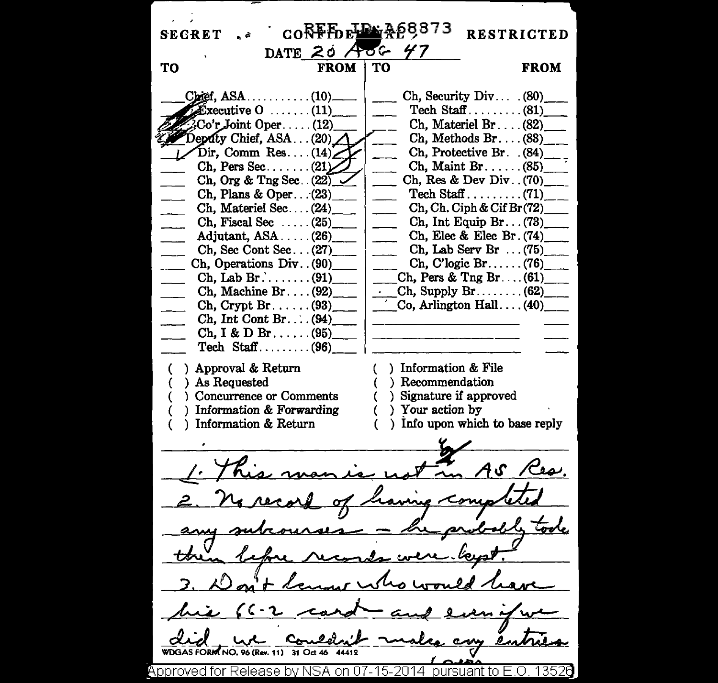$60$ <sub>RFF</sub> $_{\text{R}}$ <sub>RFB</sub> $_{\text{R}}$ <sub>RF</sub> $_{\text{R}}$ <sub>RF</sub> $_{\text{R}}$ <sub>8</sub>68873 **SECRET RESTRICTED** DATE 20 AOG 47 TΩ **FROM FROM** TО  $Chief. ASA.$ .........  $(10)$ . Ch, Security Div...  $(80)$  $\widehat{\mathbf{E}}$ xecutive  $0$  ......(11) Co'r Joint Oper...  $Ch.$  Materiel  $Br.$ ...(82)  $(12)$  $Z$  Deputy Chief, ASA ... (20)  $Ch.$  Methods  $Br. \ldots (83)$  $Dir, Comm Res... (14)$ Ch. Protective Br. (84)  $Ch.$  Pers Sec....... $(21)$  $Ch.$  Maint Br.  $\dots$  (85) Ch, Org & Tng Sec.  $(22)$ Ch, Res & Dev Div.  $(70)$ Ch, Plans & Oper...(23)  $Ch. Ch. Cish & Cif Br(72)$ Ch. Materiel Sec...(24) Ch, Fiscal Sec.....  $(25)$  $Ch, Int Equation Br... (73)$ Ch. Elec & Elec Br. (74) Adjutant,  $ASA$ ..... $(26)$ Ch, Sec Cont Sec... $(27)$ Ch. Lab Serv Br  $\ldots$  (75) Ch. Operations Div. (90)  $Ch, C'logic Br. \ldots (76)$ Ch, Pers & Tng Br.... $(61)$ Ch. Machine Br.... $(92)$ Ch. Supply  $Br_{\ldots}$  (62) Co. Arlington  $Hall$ ...(40)  $Ch.$  Crypt  $Br. \ldots. (93)$ Ch. Int Cont Br... $(94)$  $Ch, I & D Br. \ldots (95)$ Tech Staff......... $(96)$ ) Approval & Return ) Information & File Recommendation ) As Requested ) Signature if approved Concurrence or Comments ) Information & Forwarding ) Your action by Information & Return ) Info upon which to base reply  $A S$ **WDGAS FORM NO. 96 (Rev. 11) 31 Oct 46** Approved for Release by NSA on 07-15-2014 pursuant to E.O. 13526